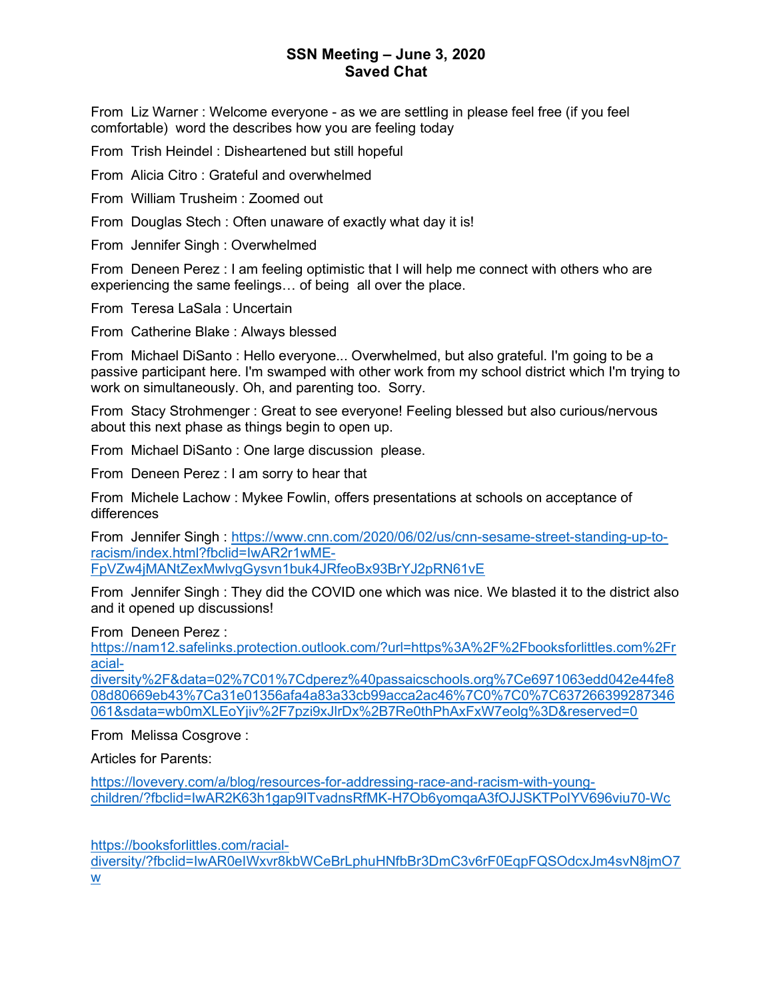From Liz Warner : Welcome everyone - as we are settling in please feel free (if you feel comfortable) word the describes how you are feeling today

From Trish Heindel : Disheartened but still hopeful

From Alicia Citro : Grateful and overwhelmed

From William Trusheim : Zoomed out

From Douglas Stech : Often unaware of exactly what day it is!

From Jennifer Singh : Overwhelmed

From Deneen Perez : I am feeling optimistic that I will help me connect with others who are experiencing the same feelings… of being all over the place.

From Teresa LaSala : Uncertain

From Catherine Blake : Always blessed

From Michael DiSanto : Hello everyone... Overwhelmed, but also grateful. I'm going to be a passive participant here. I'm swamped with other work from my school district which I'm trying to work on simultaneously. Oh, and parenting too. Sorry.

From Stacy Strohmenger : Great to see everyone! Feeling blessed but also curious/nervous about this next phase as things begin to open up.

From Michael DiSanto : One large discussion please.

From Deneen Perez : I am sorry to hear that

From Michele Lachow : Mykee Fowlin, offers presentations at schools on acceptance of differences

From Jennifer Singh : https://www.cnn.com/2020/06/02/us/cnn-sesame-street-standing-up-toracism/index.html?fbclid=IwAR2r1wME-FpVZw4jMANtZexMwlvgGysvn1buk4JRfeoBx93BrYJ2pRN61vE

From Jennifer Singh : They did the COVID one which was nice. We blasted it to the district also and it opened up discussions!

From Deneen Perez :

https://nam12.safelinks.protection.outlook.com/?url=https%3A%2F%2Fbooksforlittles.com%2Fr acial-

diversity%2F&data=02%7C01%7Cdperez%40passaicschools.org%7Ce6971063edd042e44fe8 08d80669eb43%7Ca31e01356afa4a83a33cb99acca2ac46%7C0%7C0%7C637266399287346 061&sdata=wb0mXLEoYjiv%2F7pzi9xJlrDx%2B7Re0thPhAxFxW7eolg%3D&reserved=0

From Melissa Cosgrove :

Articles for Parents:

https://lovevery.com/a/blog/resources-for-addressing-race-and-racism-with-youngchildren/?fbclid=IwAR2K63h1gap9ITvadnsRfMK-H7Ob6yomqaA3fOJJSKTPoIYV696viu70-Wc

https://booksforlittles.com/racial-

diversity/?fbclid=IwAR0eIWxvr8kbWCeBrLphuHNfbBr3DmC3v6rF0EqpFQSOdcxJm4svN8jmO7 w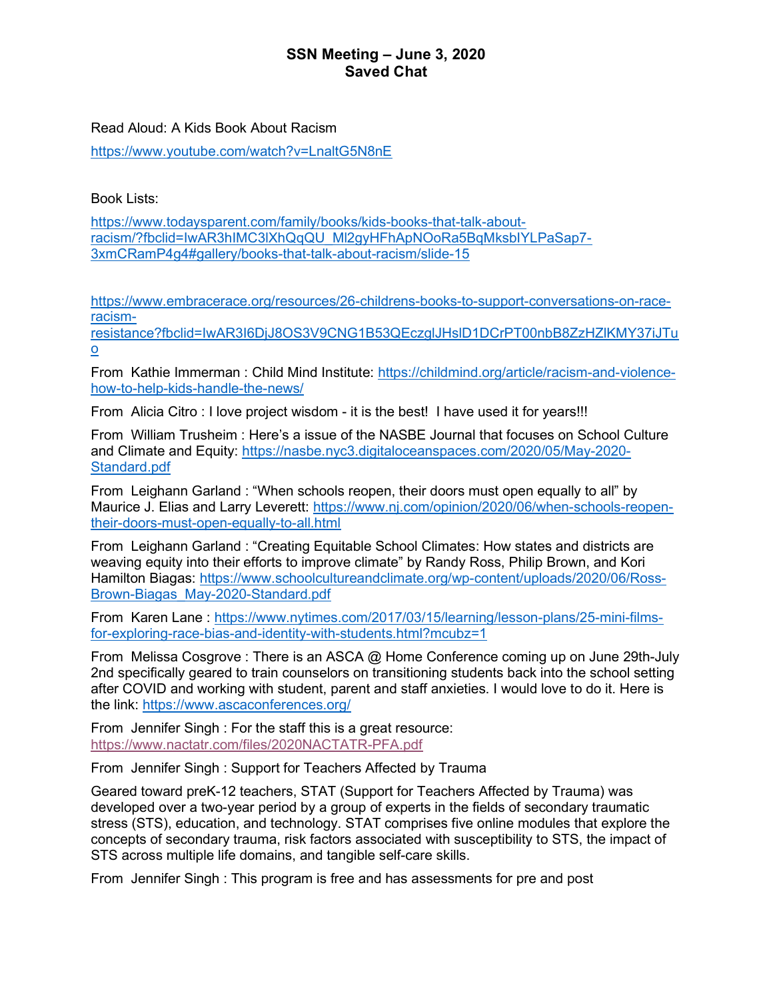#### Read Aloud: A Kids Book About Racism

https://www.youtube.com/watch?v=LnaltG5N8nE

Book Lists:

https://www.todaysparent.com/family/books/kids-books-that-talk-aboutracism/?fbclid=IwAR3hIMC3lXhQqQU\_Ml2gyHFhApNOoRa5BqMksbIYLPaSap7- 3xmCRamP4g4#gallery/books-that-talk-about-racism/slide-15

https://www.embracerace.org/resources/26-childrens-books-to-support-conversations-on-raceracism-

resistance?fbclid=IwAR3I6DjJ8OS3V9CNG1B53QEczglJHslD1DCrPT00nbB8ZzHZlKMY37iJTu o

From Kathie Immerman : Child Mind Institute: https://childmind.org/article/racism-and-violencehow-to-help-kids-handle-the-news/

From Alicia Citro : I love project wisdom - it is the best! I have used it for vears!!!

From William Trusheim : Here's a issue of the NASBE Journal that focuses on School Culture and Climate and Equity: https://nasbe.nyc3.digitaloceanspaces.com/2020/05/May-2020- Standard.pdf

From Leighann Garland : "When schools reopen, their doors must open equally to all" by Maurice J. Elias and Larry Leverett: https://www.nj.com/opinion/2020/06/when-schools-reopentheir-doors-must-open-equally-to-all.html

From Leighann Garland : "Creating Equitable School Climates: How states and districts are weaving equity into their efforts to improve climate" by Randy Ross, Philip Brown, and Kori Hamilton Biagas: https://www.schoolcultureandclimate.org/wp-content/uploads/2020/06/Ross-Brown-Biagas\_May-2020-Standard.pdf

From Karen Lane : https://www.nytimes.com/2017/03/15/learning/lesson-plans/25-mini-filmsfor-exploring-race-bias-and-identity-with-students.html?mcubz=1

From Melissa Cosgrove : There is an ASCA @ Home Conference coming up on June 29th-July 2nd specifically geared to train counselors on transitioning students back into the school setting after COVID and working with student, parent and staff anxieties. I would love to do it. Here is the link: https://www.ascaconferences.org/

From Jennifer Singh : For the staff this is a great resource: https://www.nactatr.com/files/2020NACTATR-PFA.pdf

From Jennifer Singh : Support for Teachers Affected by Trauma

Geared toward preK-12 teachers, STAT (Support for Teachers Affected by Trauma) was developed over a two-year period by a group of experts in the fields of secondary traumatic stress (STS), education, and technology. STAT comprises five online modules that explore the concepts of secondary trauma, risk factors associated with susceptibility to STS, the impact of STS across multiple life domains, and tangible self-care skills.

From Jennifer Singh : This program is free and has assessments for pre and post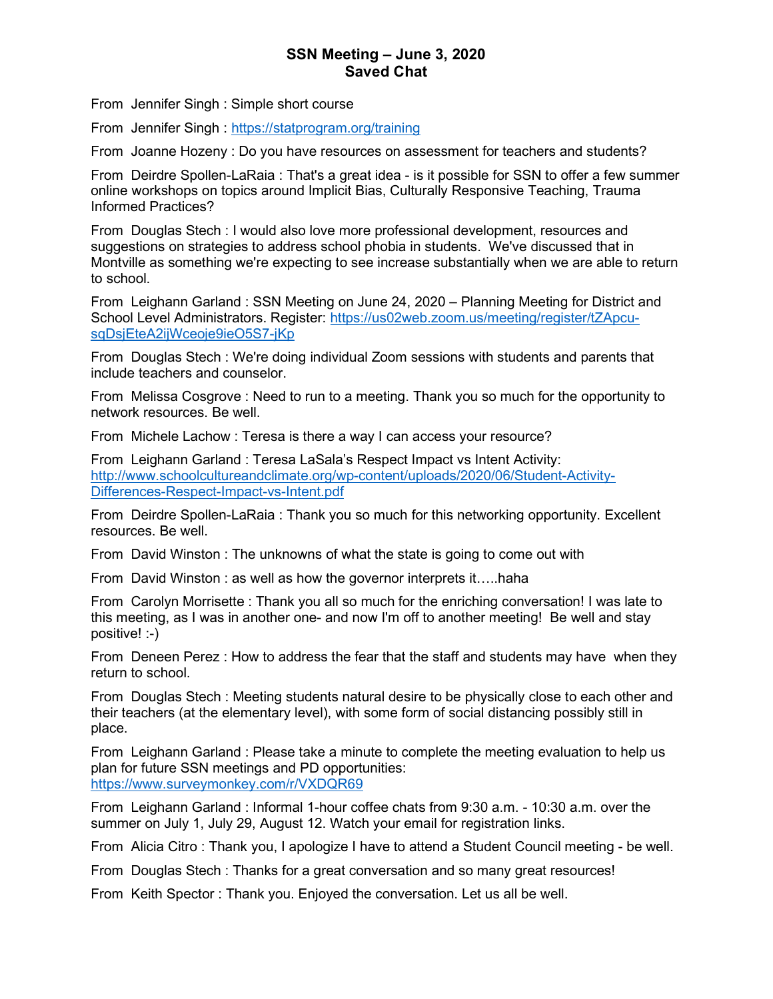From Jennifer Singh : Simple short course

From Jennifer Singh : https://statprogram.org/training

From Joanne Hozeny : Do you have resources on assessment for teachers and students?

From Deirdre Spollen-LaRaia : That's a great idea - is it possible for SSN to offer a few summer online workshops on topics around Implicit Bias, Culturally Responsive Teaching, Trauma Informed Practices?

From Douglas Stech : I would also love more professional development, resources and suggestions on strategies to address school phobia in students. We've discussed that in Montville as something we're expecting to see increase substantially when we are able to return to school.

From Leighann Garland : SSN Meeting on June 24, 2020 – Planning Meeting for District and School Level Administrators. Register: https://us02web.zoom.us/meeting/register/tZApcusqDsjEteA2ijWceoje9ieO5S7-jKp

From Douglas Stech : We're doing individual Zoom sessions with students and parents that include teachers and counselor.

From Melissa Cosgrove : Need to run to a meeting. Thank you so much for the opportunity to network resources. Be well.

From Michele Lachow : Teresa is there a way I can access your resource?

From Leighann Garland : Teresa LaSala's Respect Impact vs Intent Activity: http://www.schoolcultureandclimate.org/wp-content/uploads/2020/06/Student-Activity-Differences-Respect-Impact-vs-Intent.pdf

From Deirdre Spollen-LaRaia : Thank you so much for this networking opportunity. Excellent resources. Be well.

From David Winston : The unknowns of what the state is going to come out with

From David Winston : as well as how the governor interprets it…..haha

From Carolyn Morrisette : Thank you all so much for the enriching conversation! I was late to this meeting, as I was in another one- and now I'm off to another meeting! Be well and stay positive! :-)

From Deneen Perez : How to address the fear that the staff and students may have when they return to school.

From Douglas Stech : Meeting students natural desire to be physically close to each other and their teachers (at the elementary level), with some form of social distancing possibly still in place.

From Leighann Garland : Please take a minute to complete the meeting evaluation to help us plan for future SSN meetings and PD opportunities: https://www.surveymonkey.com/r/VXDQR69

From Leighann Garland : Informal 1-hour coffee chats from 9:30 a.m. - 10:30 a.m. over the summer on July 1, July 29, August 12. Watch your email for registration links.

From Alicia Citro : Thank you, I apologize I have to attend a Student Council meeting - be well.

From Douglas Stech : Thanks for a great conversation and so many great resources!

From Keith Spector : Thank you. Enjoyed the conversation. Let us all be well.